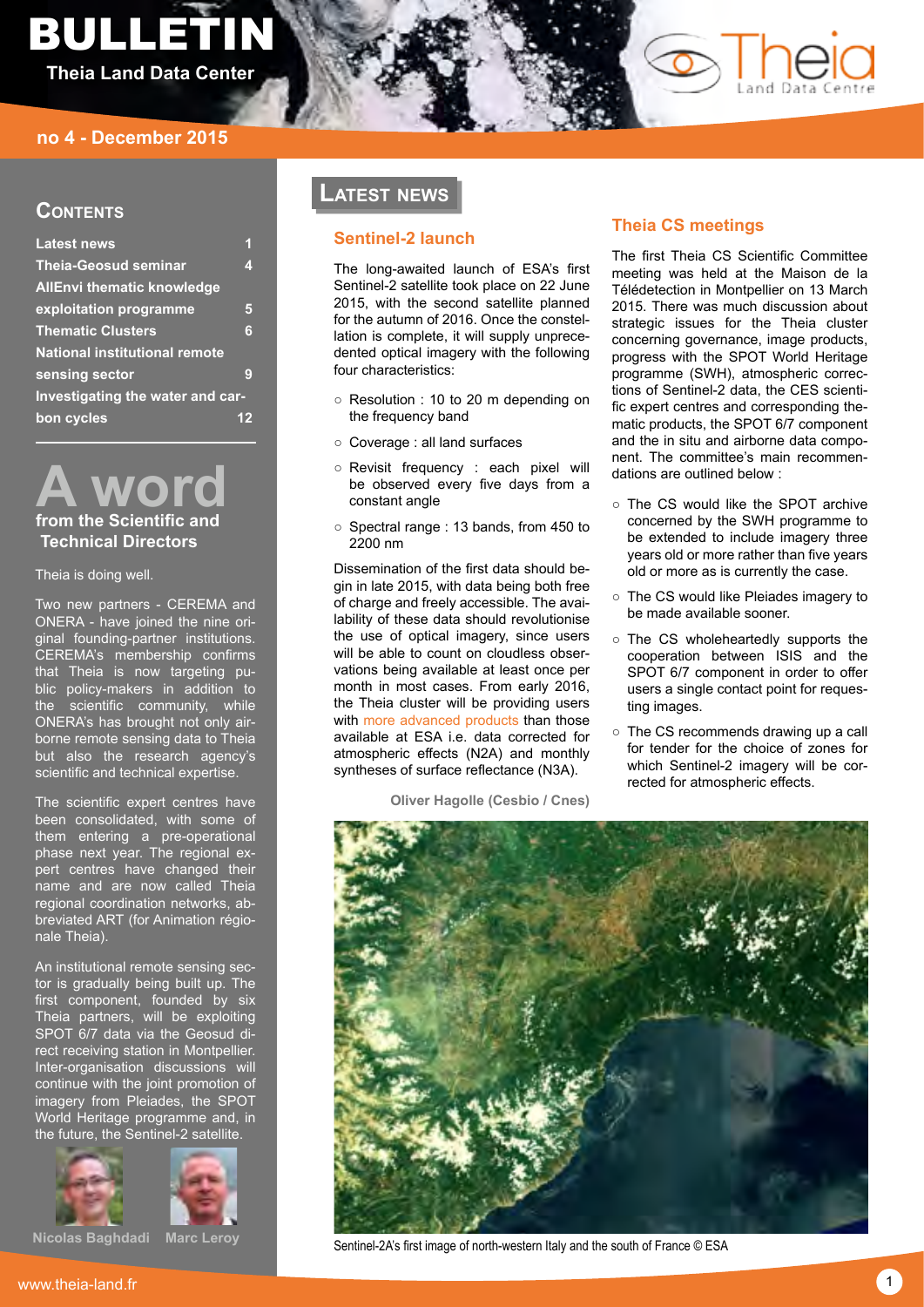# bulletin **Theia Land Data Center**



# **Contents**

| <b>Latest news</b>                   |   |
|--------------------------------------|---|
| <b>Theia-Geosud seminar</b>          | 4 |
| <b>AllEnvi thematic knowledge</b>    |   |
| exploitation programme               | 5 |
| <b>Thematic Clusters</b>             | 6 |
| <b>National institutional remote</b> |   |
| sensing sector                       | g |
| Investigating the water and car-     |   |
| bon cycles                           |   |

**A word from the Scientific and Technical Directors** 

Theia is doing well.

Two new partners - CEREMA and ONERA - have joined the nine original founding-partner institutions. CEREMA's membership confirms that Theia is now targeting public policy-makers in addition to the scientific community, while ONERA's has brought not only airborne remote sensing data to Theia but also the research agency's scientific and technical expertise.

The scientific expert centres have been consolidated, with some of them entering a pre-operational phase next year. The regional expert centres have changed their name and are now called Theia regional coordination networks, abbreviated ART (for Animation régionale Theia).

An institutional remote sensing sector is gradually being built up. The first component, founded by six Theia partners, will be exploiting SPOT 6/7 data via the Geosud direct receiving station in Montpellier. Inter-organisation discussions will continue with the joint promotion of imagery from Pleiades, the SPOT World Heritage programme and, in the future, the Sentinel-2 satellite.





**Nicolas Baghdadi Marc Leroy**

# **Latest news**

# **Sentinel-2 launch**

The long-awaited launch of ESA's first Sentinel-2 satellite took place on 22 June 2015, with the second satellite planned for the autumn of 2016. Once the constellation is complete, it will supply unprecedented optical imagery with the following four characteristics:

- Resolution : 10 to 20 m depending on the frequency band
- Coverage : all land surfaces
- Revisit frequency : each pixel will be observed every five days from a constant angle
- Spectral range : 13 bands, from 450 to 2200 nm

Dissemination of the first data should begin in late 2015, with data being both free of charge and freely accessible. The availability of these data should revolutionise the use of optical imagery, since users will be able to count on cloudless observations being available at least once per month in most cases. From early 2016, the Theia cluster will be providing users with [more advanced products](http://urlz.fr/2Piv) than those available at ESA i.e. data corrected for atmospheric effects (N2A) and monthly syntheses of surface reflectance (N3A).

**Oliver Hagolle (Cesbio / Cnes)**

# **Theia CS meetings**

The first Theia CS Scientific Committee meeting was held at the Maison de la Télédetection in Montpellier on 13 March 2015. There was much discussion about strategic issues for the Theia cluster concerning governance, image products, progress with the SPOT World Heritage programme (SWH), atmospheric corrections of Sentinel-2 data, the CES scientific expert centres and corresponding thematic products, the SPOT 6/7 component and the in situ and airborne data component. The committee's main recommendations are outlined below :

- The CS would like the SPOT archive concerned by the SWH programme to be extended to include imagery three years old or more rather than five years old or more as is currently the case.
- The CS would like Pleiades imagery to be made available sooner.
- The CS wholeheartedly supports the cooperation between ISIS and the SPOT 6/7 component in order to offer users a single contact point for requesting images.
- The CS recommends drawing up a call for tender for the choice of zones for which Sentinel-2 imagery will be corrected for atmospheric effects.



Sentinel-2A's first image of north-western Italy and the south of France © ESA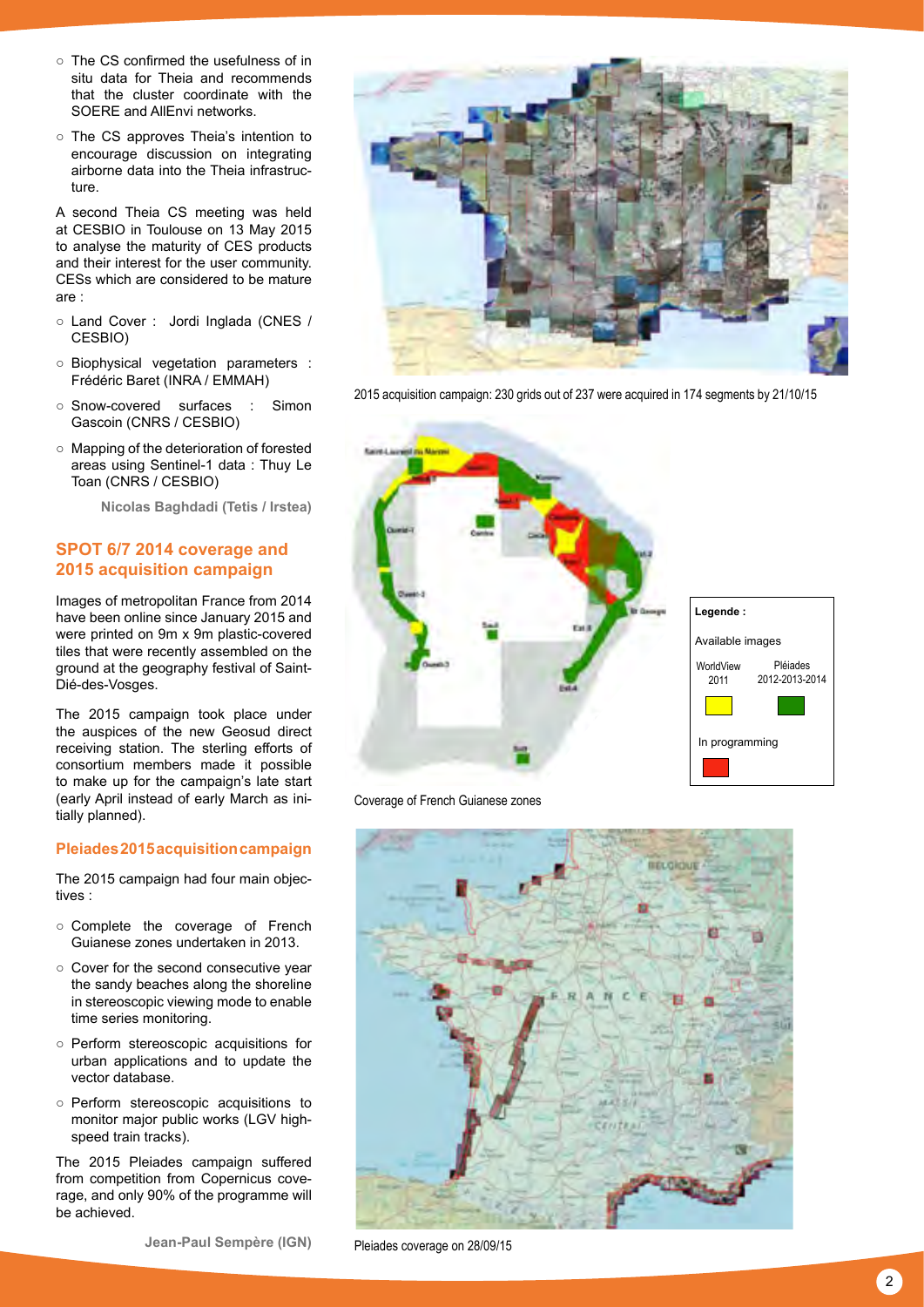- The CS confirmed the usefulness of in situ data for Theia and recommends that the cluster coordinate with the SOERE and AllEnvi networks.
- The CS approves Theia's intention to encourage discussion on integrating airborne data into the Theia infrastructure.

A second Theia CS meeting was held at CESBIO in Toulouse on 13 May 2015 to analyse the maturity of CES products and their interest for the user community. CESs which are considered to be mature are :

- Land Cover : Jordi Inglada (CNES / CESBIO)
- Biophysical vegetation parameters : Frédéric Baret (INRA / EMMAH)
- Snow-covered surfaces : Simon Gascoin (CNRS / CESBIO)
- Mapping of the deterioration of forested areas using Sentinel-1 data : Thuy Le Toan (CNRS / CESBIO)

**Nicolas Baghdadi (Tetis / Irstea)**

# **SPOT 6/7 2014 coverage and 2015 acquisition campaign**

Images of metropolitan France from 2014 have been online since January 2015 and were printed on 9m x 9m plastic-covered tiles that were recently assembled on the ground at the geography festival of Saint-Dié-des-Vosges.

The 2015 campaign took place under the auspices of the new Geosud direct receiving station. The sterling efforts of consortium members made it possible to make up for the campaign's late start (early April instead of early March as initially planned).

# **Pleiades 2015 acquisition campaign**

The 2015 campaign had four main objectives :

- Complete the coverage of French Guianese zones undertaken in 2013.
- Cover for the second consecutive year the sandy beaches along the shoreline in stereoscopic viewing mode to enable time series monitoring.
- Perform stereoscopic acquisitions for urban applications and to update the vector database.
- Perform stereoscopic acquisitions to monitor major public works (LGV highspeed train tracks).

The 2015 Pleiades campaign suffered from competition from Copernicus coverage, and only 90% of the programme will be achieved.



2015 acquisition campaign: 230 grids out of 237 were acquired in 174 segments by 21/10/15



Coverage of French Guianese zones



Pleiades coverage on 28/09/15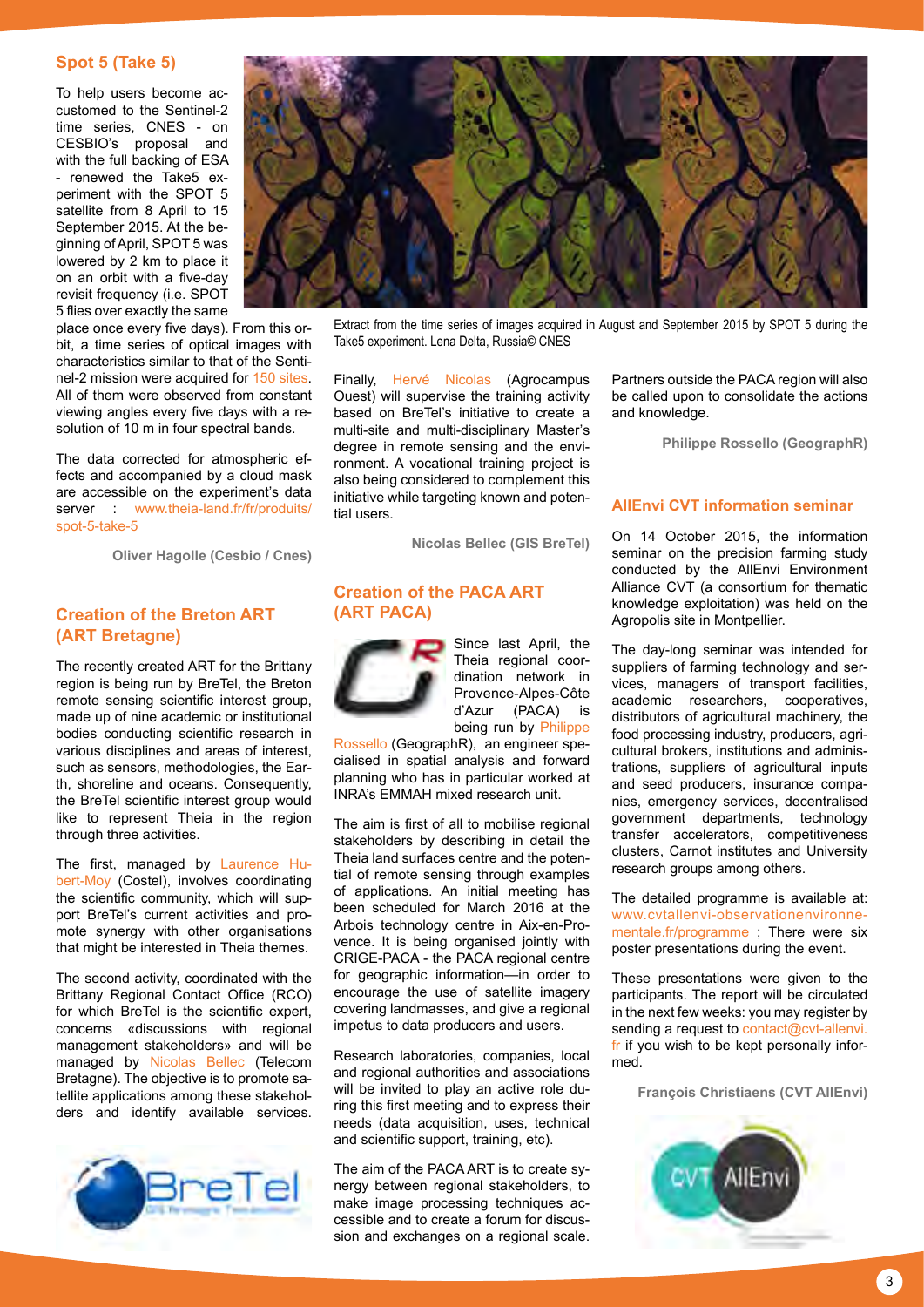# **Spot 5 (Take 5)**

To help users become accustomed to the Sentinel-2 time series, CNES - on CESBIO's proposal and with the full backing of ESA - renewed the Take5 experiment with the SPOT 5 satellite from 8 April to 15 September 2015. At the beginning of April, SPOT 5 was lowered by 2 km to place it on an orbit with a five-day revisit frequency (i.e. SPOT 5 flies over exactly the same

place once every five days). From this orbit, a time series of optical images with characteristics similar to that of the Sentinel-2 mission were acquired for [150 sites](http://urlz.fr/2J2n). All of them were observed from constant viewing angles every five days with a resolution of 10 m in four spectral bands.

The data corrected for atmospheric effects and accompanied by a cloud mask are accessible on the experiment's data server : [www.theia-land.fr/fr/produits/](http://www.theia-land.fr/fr/produits/spot-5-take-5) [spot-5-take-5](http://www.theia-land.fr/fr/produits/spot-5-take-5)

**Oliver Hagolle (Cesbio / Cnes)**

# **Creation of the Breton ART (ART Bretagne)**

The recently created ART for the Brittany region is being run by BreTel, the Breton remote sensing scientific interest group, made up of nine academic or institutional bodies conducting scientific research in various disciplines and areas of interest, such as sensors, methodologies, the Earth, shoreline and oceans. Consequently, the BreTel scientific interest group would like to represent Theia in the region through three activities.

The first, managed by [Laurence Hu](mailto:laurence.moy%40uhb.fr?subject=)[bert-Moy](mailto:laurence.moy%40uhb.fr?subject=) (Costel), involves coordinating the scientific community, which will support BreTel's current activities and promote synergy with other organisations that might be interested in Theia themes.

The second activity, coordinated with the Brittany Regional Contact Office (RCO) for which BreTel is the scientific expert, concerns «discussions with regional management stakeholders» and will be managed by [Nicolas Bellec](mailto:nicolas.bellec%40telecom-bretagne.eu?subject=) (Telecom Bretagne). The objective is to promote satellite applications among these stakeholders and identify available services.





Extract from the time series of images acquired in August and September 2015 by SPOT 5 during the Take5 experiment. Lena Delta, Russia© CNES

Finally, [Hervé Nicolas](mailto:herve.nicolas%40agrocampus-ouest.fr?subject=) (Agrocampus Ouest) will supervise the training activity based on BreTel's initiative to create a multi-site and multi-disciplinary Master's degree in remote sensing and the environment. A vocational training project is also being considered to complement this initiative while targeting known and potential users.

**Nicolas Bellec (GIS BreTel)**

# **Creation of the PACA ART (ART PACA)**



Since last April, the Theia regional coordination network in Provence-Alpes-Côte d'Azur (PACA) is being run by [Philippe](mailto:geographr%40numericable.fr?subject=)

[Rossello](mailto:geographr%40numericable.fr?subject=) (GeographR), an engineer specialised in spatial analysis and forward planning who has in particular worked at INRA's EMMAH mixed research unit.

The aim is first of all to mobilise regional stakeholders by describing in detail the Theia land surfaces centre and the potential of remote sensing through examples of applications. An initial meeting has been scheduled for March 2016 at the Arbois technology centre in Aix-en-Provence. It is being organised jointly with CRIGE-PACA - the PACA regional centre for geographic information—in order to encourage the use of satellite imagery covering landmasses, and give a regional impetus to data producers and users.

Research laboratories, companies, local and regional authorities and associations will be invited to play an active role during this first meeting and to express their needs (data acquisition, uses, technical and scientific support, training, etc).

The aim of the PACA ART is to create synergy between regional stakeholders, to make image processing techniques accessible and to create a forum for discussion and exchanges on a regional scale.

Partners outside the PACA region will also be called upon to consolidate the actions and knowledge.

**Philippe Rossello (GeographR)**

#### **AllEnvi CVT information seminar**

On 14 October 2015, the information seminar on the precision farming study conducted by the AllEnvi Environment Alliance CVT (a consortium for thematic knowledge exploitation) was held on the Agropolis site in Montpellier.

The day-long seminar was intended for suppliers of farming technology and services, managers of transport facilities, academic researchers, cooperatives, distributors of agricultural machinery, the food processing industry, producers, agricultural brokers, institutions and administrations, suppliers of agricultural inputs and seed producers, insurance companies, emergency services, decentralised government departments, technology transfer accelerators, competitiveness clusters, Carnot institutes and University research groups among others.

The detailed programme is available at: [www.cvtallenvi-observationenvironne](http://www.cvtallenvi-observationenvironnementale.fr/programme)[mentale.fr/programme](http://www.cvtallenvi-observationenvironnementale.fr/programme) ; There were six poster presentations during the event.

These presentations were given to the participants. The report will be circulated in the next few weeks: you may register by sending a request to [contact@cvt-allenvi.](mailto:contact%40cvt-allenvi.fr?subject=) [fr](mailto:contact%40cvt-allenvi.fr?subject=) if you wish to be kept personally informed.

**François Christiaens (CVT AllEnvi)**

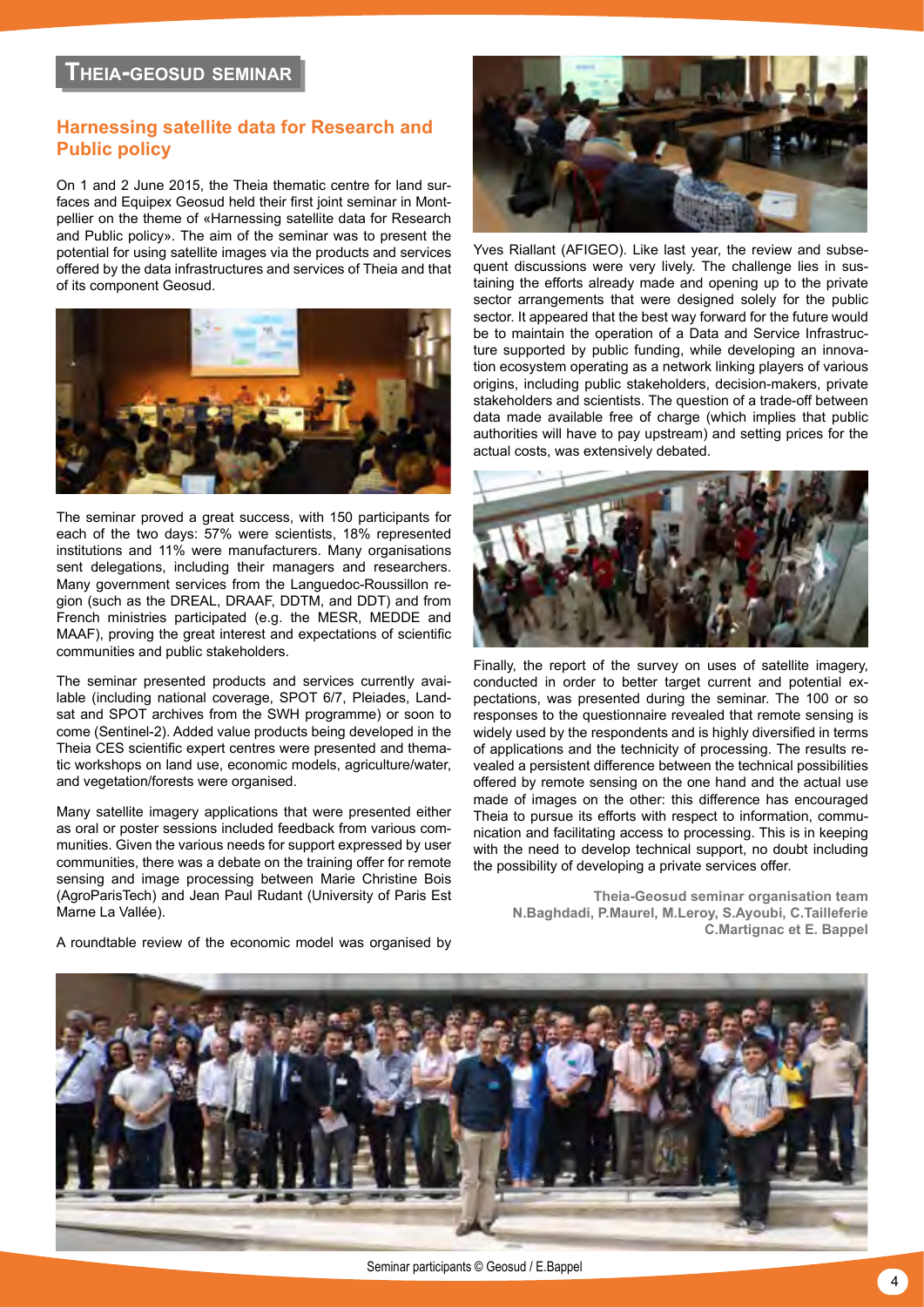# **Theia-geosud seminar**

# **Harnessing satellite data for Research and Public policy**

On 1 and 2 June 2015, the Theia thematic centre for land surfaces and Equipex Geosud held their first joint seminar in Montpellier on the theme of «Harnessing satellite data for Research and Public policy». The aim of the seminar was to present the potential for using satellite images via the products and services offered by the data infrastructures and services of Theia and that of its component Geosud.



The seminar proved a great success, with 150 participants for each of the two days: 57% were scientists, 18% represented institutions and 11% were manufacturers. Many organisations sent delegations, including their managers and researchers. Many government services from the Languedoc-Roussillon region (such as the DREAL, DRAAF, DDTM, and DDT) and from French ministries participated (e.g. the MESR, MEDDE and MAAF), proving the great interest and expectations of scientific communities and public stakeholders.

The seminar presented products and services currently available (including national coverage, SPOT 6/7, Pleiades, Landsat and SPOT archives from the SWH programme) or soon to come (Sentinel-2). Added value products being developed in the Theia CES scientific expert centres were presented and thematic workshops on land use, economic models, agriculture/water, and vegetation/forests were organised.

Many satellite imagery applications that were presented either as oral or poster sessions included feedback from various communities. Given the various needs for support expressed by user communities, there was a debate on the training offer for remote sensing and image processing between Marie Christine Bois (AgroParisTech) and Jean Paul Rudant (University of Paris Est Marne La Vallée).

A roundtable review of the economic model was organised by



Yves Riallant (AFIGEO). Like last year, the review and subsequent discussions were very lively. The challenge lies in sustaining the efforts already made and opening up to the private sector arrangements that were designed solely for the public sector. It appeared that the best way forward for the future would be to maintain the operation of a Data and Service Infrastructure supported by public funding, while developing an innovation ecosystem operating as a network linking players of various origins, including public stakeholders, decision-makers, private stakeholders and scientists. The question of a trade-off between data made available free of charge (which implies that public authorities will have to pay upstream) and setting prices for the actual costs, was extensively debated.



Finally, the report of the survey on uses of satellite imagery, conducted in order to better target current and potential expectations, was presented during the seminar. The 100 or so responses to the questionnaire revealed that remote sensing is widely used by the respondents and is highly diversified in terms of applications and the technicity of processing. The results revealed a persistent difference between the technical possibilities offered by remote sensing on the one hand and the actual use made of images on the other: this difference has encouraged Theia to pursue its efforts with respect to information, communication and facilitating access to processing. This is in keeping with the need to develop technical support, no doubt including the possibility of developing a private services offer.

**Theia-Geosud seminar organisation team N.Baghdadi, P.Maurel, M.Leroy, S.Ayoubi, C.Tailleferie C.Martignac et E. Bappel**

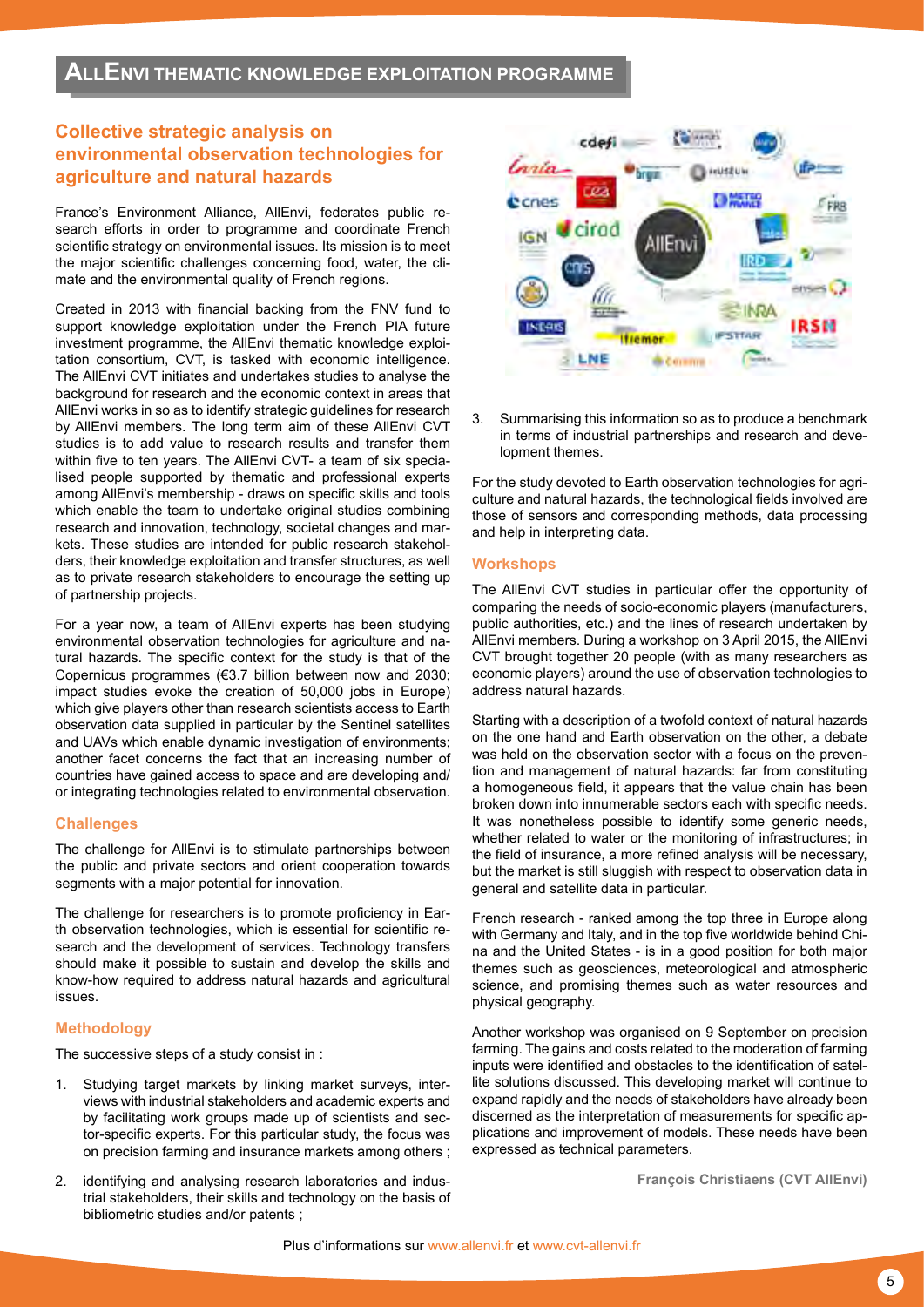# **Collective strategic analysis on environmental observation technologies for agriculture and natural hazards**

France's Environment Alliance, AllEnvi, federates public research efforts in order to programme and coordinate French scientific strategy on environmental issues. Its mission is to meet the major scientific challenges concerning food, water, the climate and the environmental quality of French regions.

Created in 2013 with financial backing from the FNV fund to support knowledge exploitation under the French PIA future investment programme, the AllEnvi thematic knowledge exploitation consortium, CVT, is tasked with economic intelligence. The AllEnvi CVT initiates and undertakes studies to analyse the background for research and the economic context in areas that AllEnvi works in so as to identify strategic guidelines for research by AllEnvi members. The long term aim of these AllEnvi CVT studies is to add value to research results and transfer them within five to ten years. The AllEnvi CVT- a team of six specialised people supported by thematic and professional experts among AllEnvi's membership - draws on specific skills and tools which enable the team to undertake original studies combining research and innovation, technology, societal changes and markets. These studies are intended for public research stakeholders, their knowledge exploitation and transfer structures, as well as to private research stakeholders to encourage the setting up of partnership projects.

For a year now, a team of AllEnvi experts has been studying environmental observation technologies for agriculture and natural hazards. The specific context for the study is that of the Copernicus programmes (€3.7 billion between now and 2030; impact studies evoke the creation of 50,000 jobs in Europe) which give players other than research scientists access to Earth observation data supplied in particular by the Sentinel satellites and UAVs which enable dynamic investigation of environments; another facet concerns the fact that an increasing number of countries have gained access to space and are developing and/ or integrating technologies related to environmental observation.

# **Challenges**

The challenge for AllEnvi is to stimulate partnerships between the public and private sectors and orient cooperation towards segments with a major potential for innovation.

The challenge for researchers is to promote proficiency in Earth observation technologies, which is essential for scientific research and the development of services. Technology transfers should make it possible to sustain and develop the skills and know-how required to address natural hazards and agricultural issues.

# **Methodology**

The successive steps of a study consist in :

- Studying target markets by linking market surveys, interviews with industrial stakeholders and academic experts and by facilitating work groups made up of scientists and sector-specific experts. For this particular study, the focus was on precision farming and insurance markets among others ;
- 2. identifying and analysing research laboratories and industrial stakeholders, their skills and technology on the basis of bibliometric studies and/or patents ;



3. Summarising this information so as to produce a benchmark in terms of industrial partnerships and research and development themes.

For the study devoted to Earth observation technologies for agriculture and natural hazards, the technological fields involved are those of sensors and corresponding methods, data processing and help in interpreting data.

# **Workshops**

The AllEnvi CVT studies in particular offer the opportunity of comparing the needs of socio-economic players (manufacturers, public authorities, etc.) and the lines of research undertaken by AllEnvi members. During a workshop on 3 April 2015, the AllEnvi CVT brought together 20 people (with as many researchers as economic players) around the use of observation technologies to address natural hazards.

Starting with a description of a twofold context of natural hazards on the one hand and Earth observation on the other, a debate was held on the observation sector with a focus on the prevention and management of natural hazards: far from constituting a homogeneous field, it appears that the value chain has been broken down into innumerable sectors each with specific needs. It was nonetheless possible to identify some generic needs, whether related to water or the monitoring of infrastructures; in the field of insurance, a more refined analysis will be necessary, but the market is still sluggish with respect to observation data in general and satellite data in particular.

French research - ranked among the top three in Europe along with Germany and Italy, and in the top five worldwide behind China and the United States - is in a good position for both major themes such as geosciences, meteorological and atmospheric science, and promising themes such as water resources and physical geography.

Another workshop was organised on 9 September on precision farming. The gains and costs related to the moderation of farming inputs were identified and obstacles to the identification of satellite solutions discussed. This developing market will continue to expand rapidly and the needs of stakeholders have already been discerned as the interpretation of measurements for specific applications and improvement of models. These needs have been expressed as technical parameters.

**François Christiaens (CVT AllEnvi)**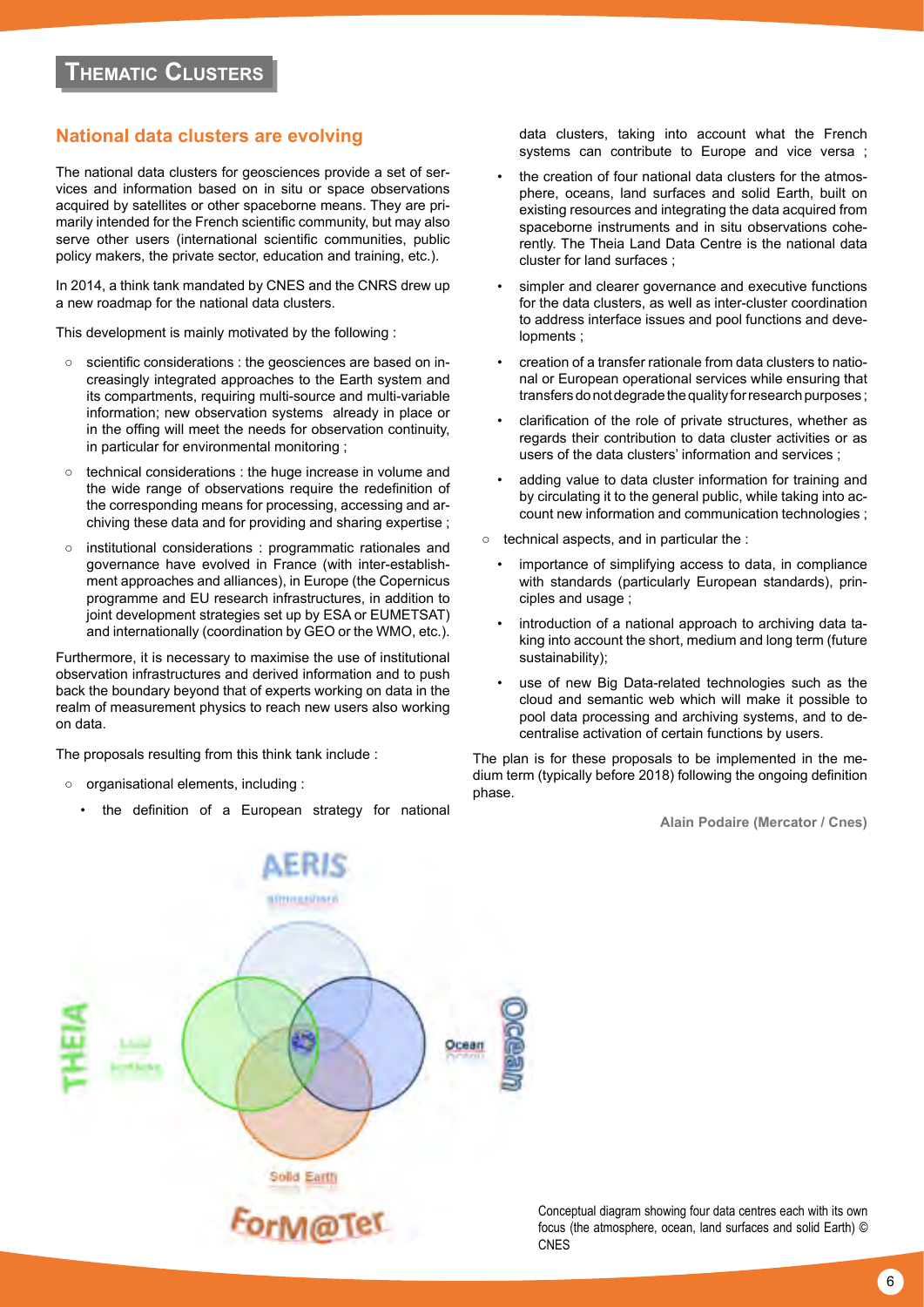# **National data clusters are evolving**

The national data clusters for geosciences provide a set of services and information based on in situ or space observations acquired by satellites or other spaceborne means. They are primarily intended for the French scientific community, but may also serve other users (international scientific communities, public policy makers, the private sector, education and training, etc.).

In 2014, a think tank mandated by CNES and the CNRS drew up a new roadmap for the national data clusters.

This development is mainly motivated by the following :

- scientific considerations : the geosciences are based on increasingly integrated approaches to the Earth system and its compartments, requiring multi-source and multi-variable information; new observation systems already in place or in the offing will meet the needs for observation continuity, in particular for environmental monitoring ;
- technical considerations : the huge increase in volume and the wide range of observations require the redefinition of the corresponding means for processing, accessing and archiving these data and for providing and sharing expertise ;
- institutional considerations : programmatic rationales and governance have evolved in France (with inter-establishment approaches and alliances), in Europe (the Copernicus programme and EU research infrastructures, in addition to joint development strategies set up by ESA or EUMETSAT) and internationally (coordination by GEO or the WMO, etc.).

Furthermore, it is necessary to maximise the use of institutional observation infrastructures and derived information and to push back the boundary beyond that of experts working on data in the realm of measurement physics to reach new users also working on data.

The proposals resulting from this think tank include :

- organisational elements, including :
	- the definition of a European strategy for national

data clusters, taking into account what the French systems can contribute to Europe and vice versa ;

- the creation of four national data clusters for the atmosphere, oceans, land surfaces and solid Earth, built on existing resources and integrating the data acquired from spaceborne instruments and in situ observations coherently. The Theia Land Data Centre is the national data cluster for land surfaces ;
- simpler and clearer governance and executive functions for the data clusters, as well as inter-cluster coordination to address interface issues and pool functions and developments ;
- creation of a transfer rationale from data clusters to national or European operational services while ensuring that transfers do not degrade the quality for research purposes ;
- clarification of the role of private structures, whether as regards their contribution to data cluster activities or as users of the data clusters' information and services ;
- adding value to data cluster information for training and by circulating it to the general public, while taking into account new information and communication technologies ;
- technical aspects, and in particular the :
	- importance of simplifying access to data, in compliance with standards (particularly European standards), principles and usage ;
	- introduction of a national approach to archiving data taking into account the short, medium and long term (future sustainability);
	- use of new Big Data-related technologies such as the cloud and semantic web which will make it possible to pool data processing and archiving systems, and to decentralise activation of certain functions by users.

The plan is for these proposals to be implemented in the medium term (typically before 2018) following the ongoing definition phase.

**Alain Podaire (Mercator / Cnes)**



Conceptual diagram showing four data centres each with its own focus (the atmosphere, ocean, land surfaces and solid Earth) © CNES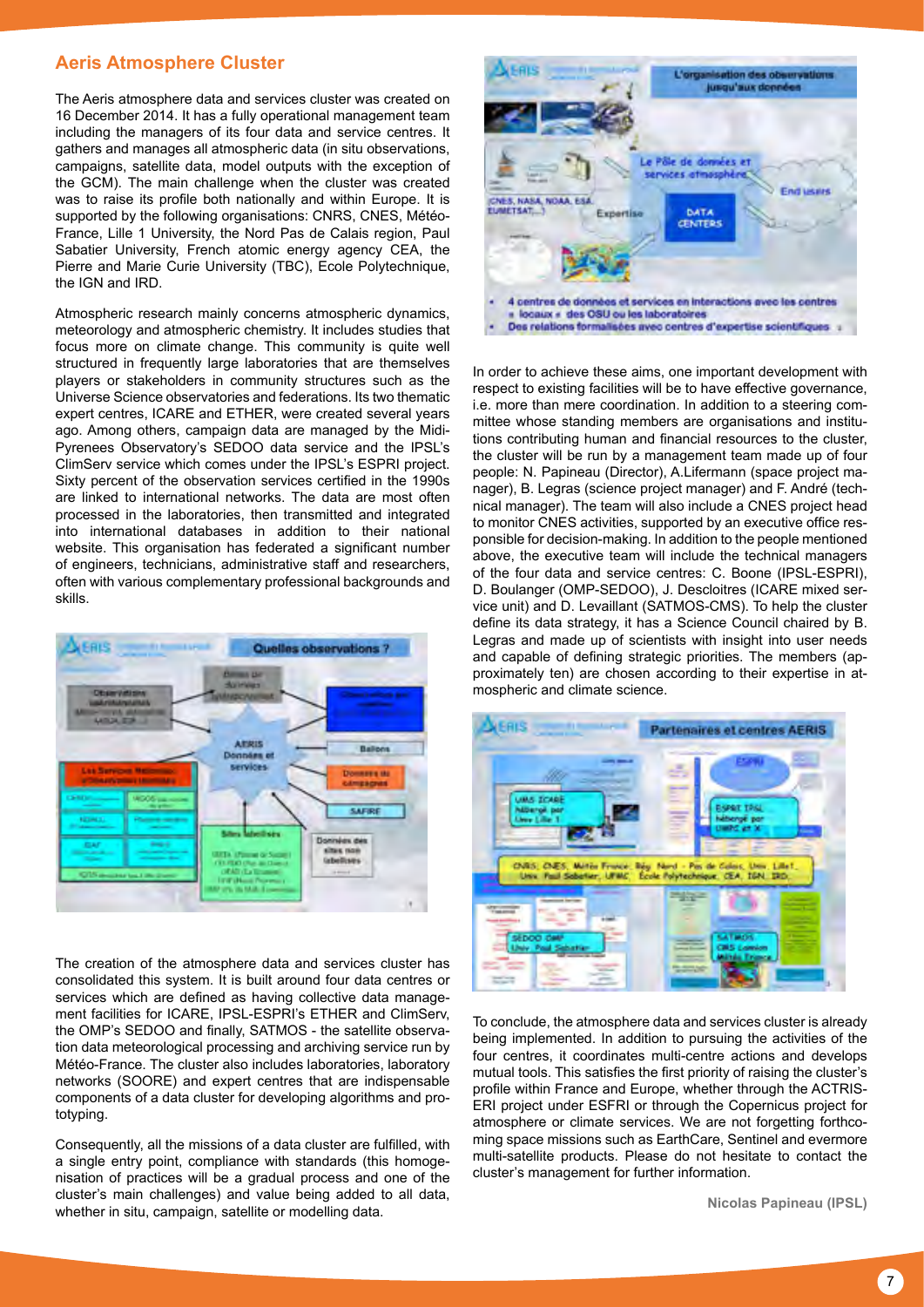# **Aeris Atmosphere Cluster**

The Aeris atmosphere data and services cluster was created on 16 December 2014. It has a fully operational management team including the managers of its four data and service centres. It gathers and manages all atmospheric data (in situ observations, campaigns, satellite data, model outputs with the exception of the GCM). The main challenge when the cluster was created was to raise its profile both nationally and within Europe. It is supported by the following organisations: CNRS, CNES, Météo-France, Lille 1 University, the Nord Pas de Calais region, Paul Sabatier University, French atomic energy agency CEA, the Pierre and Marie Curie University (TBC), Ecole Polytechnique, the IGN and IRD.

Atmospheric research mainly concerns atmospheric dynamics, meteorology and atmospheric chemistry. It includes studies that focus more on climate change. This community is quite well structured in frequently large laboratories that are themselves players or stakeholders in community structures such as the Universe Science observatories and federations. Its two thematic expert centres, ICARE and ETHER, were created several years ago. Among others, campaign data are managed by the Midi-Pyrenees Observatory's SEDOO data service and the IPSL's ClimServ service which comes under the IPSL's ESPRI project. Sixty percent of the observation services certified in the 1990s are linked to international networks. The data are most often processed in the laboratories, then transmitted and integrated into international databases in addition to their national website. This organisation has federated a significant number of engineers, technicians, administrative staff and researchers, often with various complementary professional backgrounds and skills.



The creation of the atmosphere data and services cluster has consolidated this system. It is built around four data centres or services which are defined as having collective data management facilities for ICARE, IPSL-ESPRI's ETHER and ClimServ, the OMP's SEDOO and finally, SATMOS - the satellite observation data meteorological processing and archiving service run by Météo-France. The cluster also includes laboratories, laboratory networks (SOORE) and expert centres that are indispensable components of a data cluster for developing algorithms and prototyping.

Consequently, all the missions of a data cluster are fulfilled, with a single entry point, compliance with standards (this homogenisation of practices will be a gradual process and one of the cluster's main challenges) and value being added to all data, whether in situ, campaign, satellite or modelling data.



In order to achieve these aims, one important development with respect to existing facilities will be to have effective governance, i.e. more than mere coordination. In addition to a steering committee whose standing members are organisations and institutions contributing human and financial resources to the cluster, the cluster will be run by a management team made up of four people: N. Papineau (Director), A.Lifermann (space project manager), B. Legras (science project manager) and F. André (technical manager). The team will also include a CNES project head to monitor CNES activities, supported by an executive office responsible for decision-making. In addition to the people mentioned above, the executive team will include the technical managers of the four data and service centres: C. Boone (IPSL-ESPRI), D. Boulanger (OMP-SEDOO), J. Descloitres (ICARE mixed service unit) and D. Levaillant (SATMOS-CMS). To help the cluster define its data strategy, it has a Science Council chaired by B. Legras and made up of scientists with insight into user needs and capable of defining strategic priorities. The members (approximately ten) are chosen according to their expertise in atmospheric and climate science.



To conclude, the atmosphere data and services cluster is already being implemented. In addition to pursuing the activities of the four centres, it coordinates multi-centre actions and develops mutual tools. This satisfies the first priority of raising the cluster's profile within France and Europe, whether through the ACTRIS-ERI project under ESFRI or through the Copernicus project for atmosphere or climate services. We are not forgetting forthcoming space missions such as EarthCare, Sentinel and evermore multi-satellite products. Please do not hesitate to contact the cluster's management for further information.

**Nicolas Papineau (IPSL)**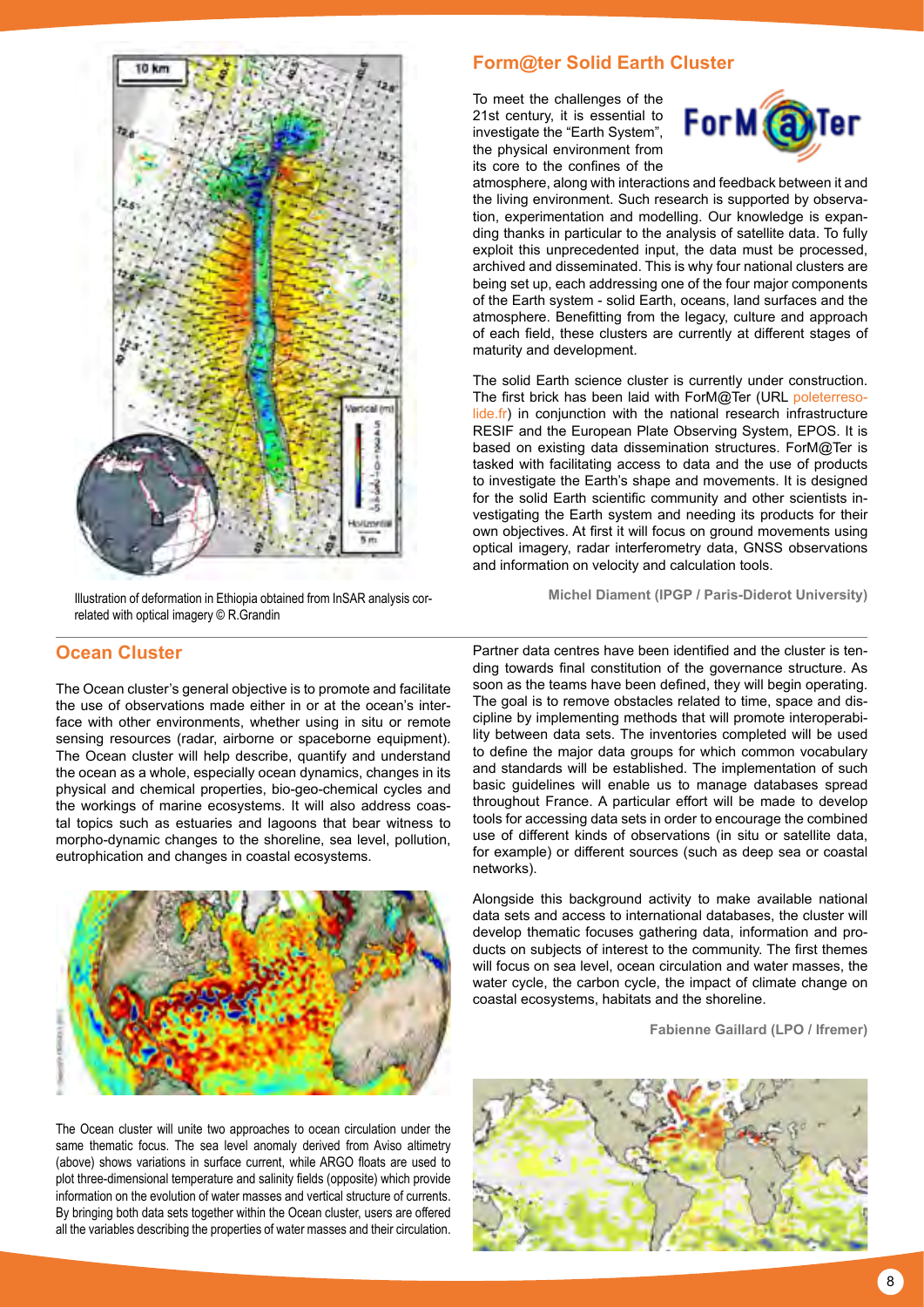

**Michel Diament (IPGP / Paris-Diderot University)** Illustration of deformation in Ethiopia obtained from InSAR analysis correlated with optical imagery © R.Grandin

# **Ocean Cluster**

The Ocean cluster's general objective is to promote and facilitate the use of observations made either in or at the ocean's interface with other environments, whether using in situ or remote sensing resources (radar, airborne or spaceborne equipment). The Ocean cluster will help describe, quantify and understand the ocean as a whole, especially ocean dynamics, changes in its physical and chemical properties, bio-geo-chemical cycles and the workings of marine ecosystems. It will also address coastal topics such as estuaries and lagoons that bear witness to morpho-dynamic changes to the shoreline, sea level, pollution, eutrophication and changes in coastal ecosystems.



The Ocean cluster will unite two approaches to ocean circulation under the same thematic focus. The sea level anomaly derived from Aviso altimetry (above) shows variations in surface current, while ARGO floats are used to plot three-dimensional temperature and salinity fields (opposite) which provide information on the evolution of water masses and vertical structure of currents. By bringing both data sets together within the Ocean cluster, users are offered all the variables describing the properties of water masses and their circulation.

# **Form@ter Solid Earth Cluster**

To meet the challenges of the 21st century, it is essential to investigate the "Earth System", the physical environment from its core to the confines of the



atmosphere, along with interactions and feedback between it and the living environment. Such research is supported by observation, experimentation and modelling. Our knowledge is expanding thanks in particular to the analysis of satellite data. To fully exploit this unprecedented input, the data must be processed, archived and disseminated. This is why four national clusters are being set up, each addressing one of the four major components of the Earth system - solid Earth, oceans, land surfaces and the atmosphere. Benefitting from the legacy, culture and approach of each field, these clusters are currently at different stages of maturity and development.

The solid Earth science cluster is currently under construction. The first brick has been laid with ForM@Ter (URL [poleterreso](http://poleterresolide.fr)[lide.fr\)](http://poleterresolide.fr) in conjunction with the national research infrastructure RESIF and the European Plate Observing System, EPOS. It is based on existing data dissemination structures. ForM@Ter is tasked with facilitating access to data and the use of products to investigate the Earth's shape and movements. It is designed for the solid Earth scientific community and other scientists investigating the Earth system and needing its products for their own objectives. At first it will focus on ground movements using optical imagery, radar interferometry data, GNSS observations and information on velocity and calculation tools.

Partner data centres have been identified and the cluster is tending towards final constitution of the governance structure. As soon as the teams have been defined, they will begin operating. The goal is to remove obstacles related to time, space and discipline by implementing methods that will promote interoperability between data sets. The inventories completed will be used to define the major data groups for which common vocabulary and standards will be established. The implementation of such basic guidelines will enable us to manage databases spread throughout France. A particular effort will be made to develop tools for accessing data sets in order to encourage the combined use of different kinds of observations (in situ or satellite data, for example) or different sources (such as deep sea or coastal networks).

Alongside this background activity to make available national data sets and access to international databases, the cluster will develop thematic focuses gathering data, information and products on subjects of interest to the community. The first themes will focus on sea level, ocean circulation and water masses, the water cycle, the carbon cycle, the impact of climate change on coastal ecosystems, habitats and the shoreline.

**Fabienne Gaillard (LPO / Ifremer)**

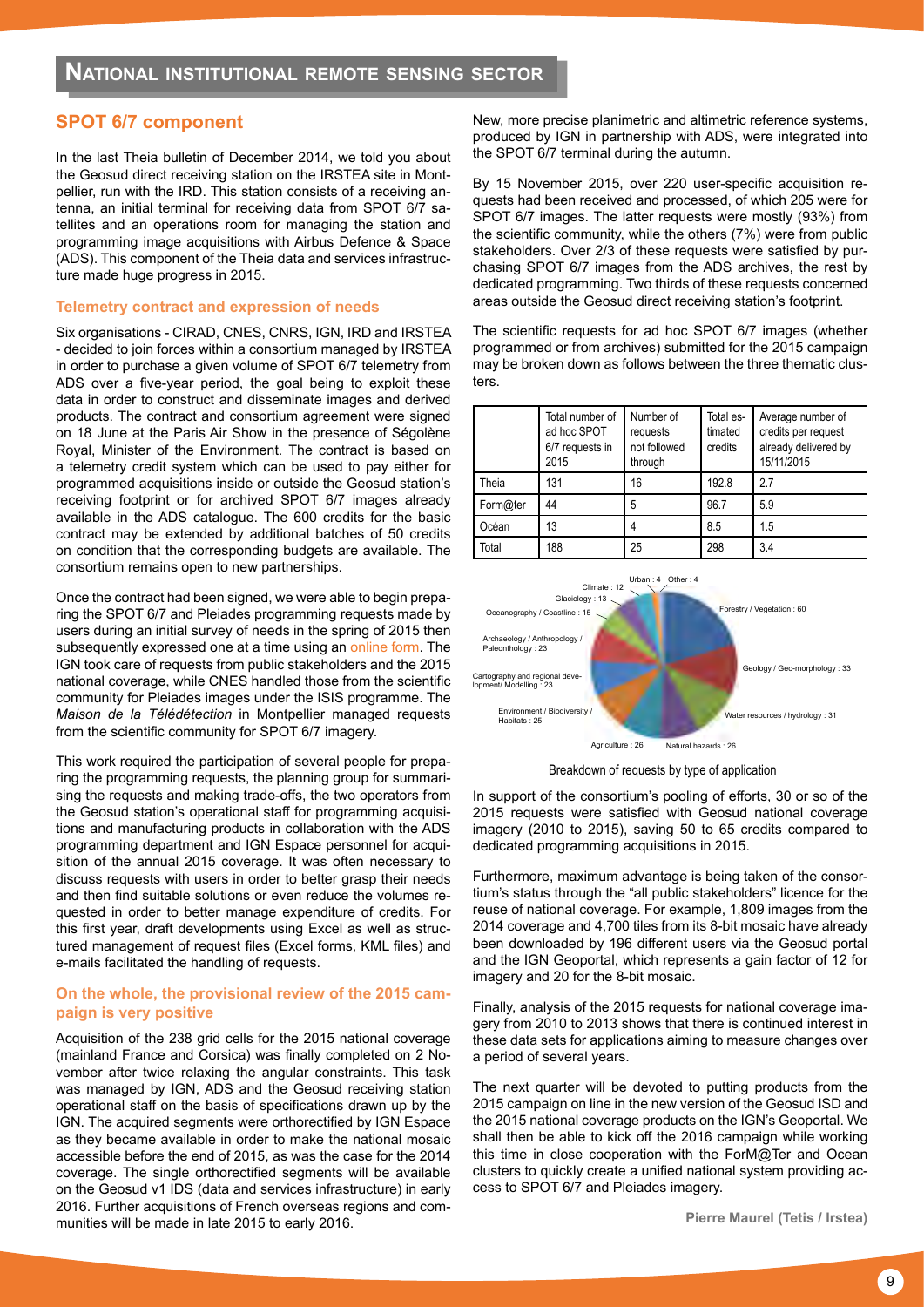# **SPOT 6/7 component**

In the last Theia bulletin of December 2014, we told you about the Geosud direct receiving station on the IRSTEA site in Montpellier, run with the IRD. This station consists of a receiving antenna, an initial terminal for receiving data from SPOT 6/7 satellites and an operations room for managing the station and programming image acquisitions with Airbus Defence & Space (ADS). This component of the Theia data and services infrastructure made huge progress in 2015.

#### **Telemetry contract and expression of needs**

Six organisations - CIRAD, CNES, CNRS, IGN, IRD and IRSTEA - decided to join forces within a consortium managed by IRSTEA in order to purchase a given volume of SPOT 6/7 telemetry from ADS over a five-year period, the goal being to exploit these data in order to construct and disseminate images and derived products. The contract and consortium agreement were signed on 18 June at the Paris Air Show in the presence of Ségolène Royal, Minister of the Environment. The contract is based on a telemetry credit system which can be used to pay either for programmed acquisitions inside or outside the Geosud station's receiving footprint or for archived SPOT 6/7 images already available in the ADS catalogue. The 600 credits for the basic contract may be extended by additional batches of 50 credits on condition that the corresponding budgets are available. The consortium remains open to new partnerships.

Once the contract had been signed, we were able to begin preparing the SPOT 6/7 and Pleiades programming requests made by users during an initial survey of needs in the spring of 2015 then subsequently expressed one at a time using an [online form](http://www.satelliteimageaccess.eu). The IGN took care of requests from public stakeholders and the 2015 national coverage, while CNES handled those from the scientific community for Pleiades images under the ISIS programme. The *Maison de la Télédétection* in Montpellier managed requests from the scientific community for SPOT 6/7 imagery.

This work required the participation of several people for preparing the programming requests, the planning group for summarising the requests and making trade-offs, the two operators from the Geosud station's operational staff for programming acquisitions and manufacturing products in collaboration with the ADS programming department and IGN Espace personnel for acquisition of the annual 2015 coverage. It was often necessary to discuss requests with users in order to better grasp their needs and then find suitable solutions or even reduce the volumes requested in order to better manage expenditure of credits. For this first year, draft developments using Excel as well as structured management of request files (Excel forms, KML files) and e-mails facilitated the handling of requests.

# **On the whole, the provisional review of the 2015 campaign is very positive**

Acquisition of the 238 grid cells for the 2015 national coverage (mainland France and Corsica) was finally completed on 2 November after twice relaxing the angular constraints. This task was managed by IGN, ADS and the Geosud receiving station operational staff on the basis of specifications drawn up by the IGN. The acquired segments were orthorectified by IGN Espace as they became available in order to make the national mosaic accessible before the end of 2015, as was the case for the 2014 coverage. The single orthorectified segments will be available on the Geosud v1 IDS (data and services infrastructure) in early 2016. Further acquisitions of French overseas regions and communities will be made in late 2015 to early 2016.

New, more precise planimetric and altimetric reference systems, produced by IGN in partnership with ADS, were integrated into the SPOT 6/7 terminal during the autumn.

By 15 November 2015, over 220 user-specific acquisition requests had been received and processed, of which 205 were for SPOT 6/7 images. The latter requests were mostly (93%) from the scientific community, while the others (7%) were from public stakeholders. Over 2/3 of these requests were satisfied by purchasing SPOT 6/7 images from the ADS archives, the rest by dedicated programming. Two thirds of these requests concerned areas outside the Geosud direct receiving station's footprint.

The scientific requests for ad hoc SPOT 6/7 images (whether programmed or from archives) submitted for the 2015 campaign may be broken down as follows between the three thematic clusters.

|          | Total number of<br>ad hoc SPOT<br>6/7 requests in<br>2015 | Number of<br>requests<br>not followed<br>through | Total es-<br>timated<br>credits | Average number of<br>credits per request<br>already delivered by<br>15/11/2015 |
|----------|-----------------------------------------------------------|--------------------------------------------------|---------------------------------|--------------------------------------------------------------------------------|
| Theia    | 131                                                       | 16                                               | 192.8                           | 2.7                                                                            |
| Form@ter | 44                                                        | 5                                                | 96.7                            | 5.9                                                                            |
| Océan    | 13                                                        | 4                                                | 8.5                             | 1.5                                                                            |
| Total    | 188                                                       | 25                                               | 298                             | 3.4                                                                            |



Breakdown of requests by type of application

In support of the consortium's pooling of efforts, 30 or so of the 2015 requests were satisfied with Geosud national coverage imagery (2010 to 2015), saving 50 to 65 credits compared to dedicated programming acquisitions in 2015.

Furthermore, maximum advantage is being taken of the consortium's status through the "all public stakeholders" licence for the reuse of national coverage. For example, 1,809 images from the 2014 coverage and 4,700 tiles from its 8-bit mosaic have already been downloaded by 196 different users via the Geosud portal and the IGN Geoportal, which represents a gain factor of 12 for imagery and 20 for the 8-bit mosaic.

Finally, analysis of the 2015 requests for national coverage imagery from 2010 to 2013 shows that there is continued interest in these data sets for applications aiming to measure changes over a period of several years.

The next quarter will be devoted to putting products from the 2015 campaign on line in the new version of the Geosud ISD and the 2015 national coverage products on the IGN's Geoportal. We shall then be able to kick off the 2016 campaign while working this time in close cooperation with the ForM@Ter and Ocean clusters to quickly create a unified national system providing access to SPOT 6/7 and Pleiades imagery.

**Pierre Maurel (Tetis / Irstea)**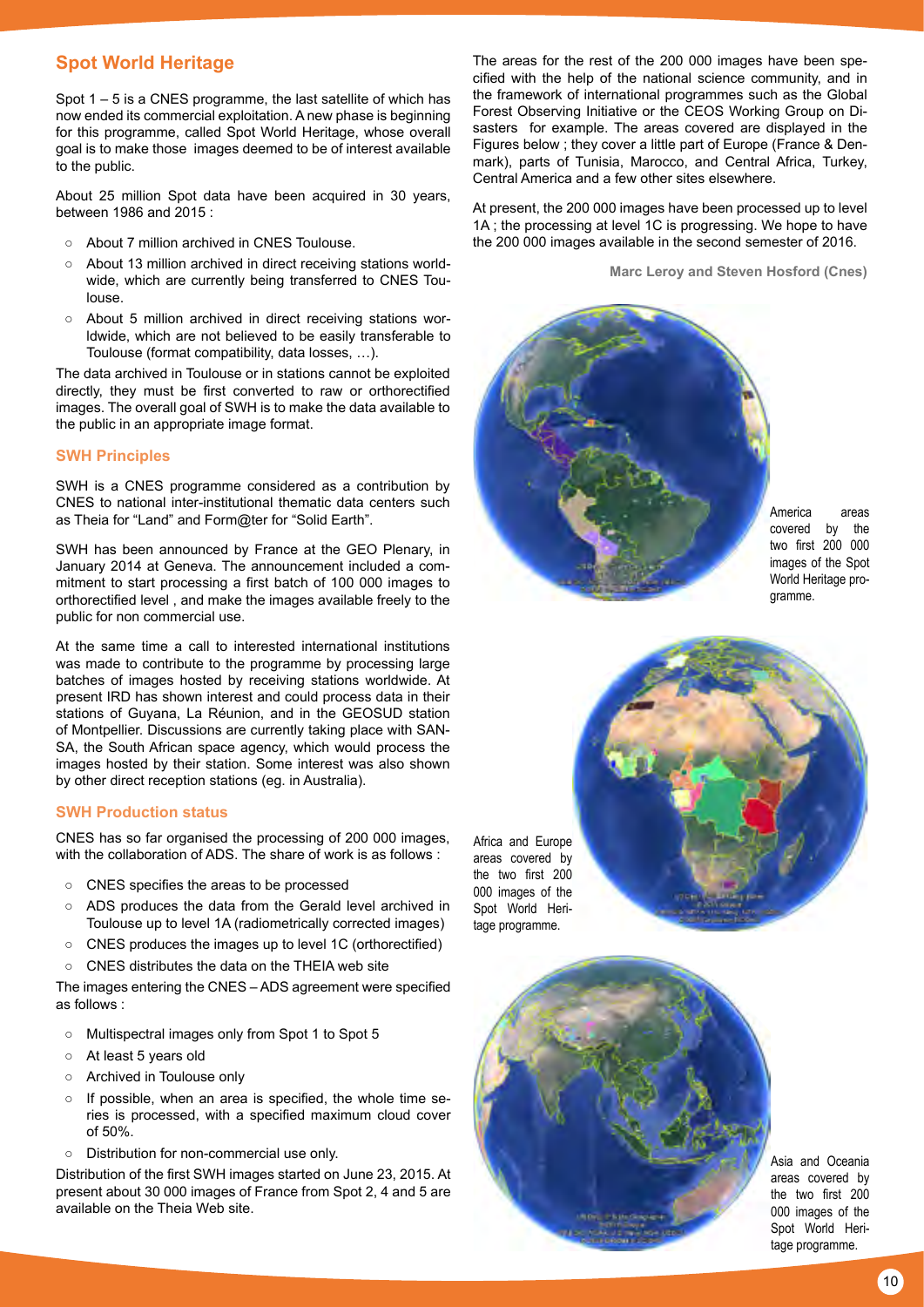# **Spot World Heritage**

Spot 1 – 5 is a CNES programme, the last satellite of which has now ended its commercial exploitation. A new phase is beginning for this programme, called Spot World Heritage, whose overall goal is to make those images deemed to be of interest available to the public.

About 25 million Spot data have been acquired in 30 years, between 1986 and 2015 :

- About 7 million archived in CNES Toulouse.
- About 13 million archived in direct receiving stations worldwide, which are currently being transferred to CNES Toulouse.
- About 5 million archived in direct receiving stations worldwide, which are not believed to be easily transferable to Toulouse (format compatibility, data losses, …).

The data archived in Toulouse or in stations cannot be exploited directly, they must be first converted to raw or orthorectified images. The overall goal of SWH is to make the data available to the public in an appropriate image format.

#### **SWH Principles**

SWH is a CNES programme considered as a contribution by CNES to national inter-institutional thematic data centers such as Theia for "Land" and Form@ter for "Solid Earth".

SWH has been announced by France at the GEO Plenary, in January 2014 at Geneva. The announcement included a commitment to start processing a first batch of 100 000 images to orthorectified level , and make the images available freely to the public for non commercial use.

At the same time a call to interested international institutions was made to contribute to the programme by processing large batches of images hosted by receiving stations worldwide. At present IRD has shown interest and could process data in their stations of Guyana, La Réunion, and in the GEOSUD station of Montpellier. Discussions are currently taking place with SAN-SA, the South African space agency, which would process the images hosted by their station. Some interest was also shown by other direct reception stations (eg. in Australia).

# **SWH Production status**

CNES has so far organised the processing of 200 000 images, with the collaboration of ADS. The share of work is as follows :

- CNES specifies the areas to be processed
- ADS produces the data from the Gerald level archived in Toulouse up to level 1A (radiometrically corrected images)
- CNES produces the images up to level 1C (orthorectified)
- CNES distributes the data on the THEIA web site

The images entering the CNES – ADS agreement were specified as follows :

- Multispectral images only from Spot 1 to Spot 5
- At least 5 years old
- Archived in Toulouse only
- If possible, when an area is specified, the whole time series is processed, with a specified maximum cloud cover of 50%.
- Distribution for non-commercial use only.

Distribution of the first SWH images started on June 23, 2015. At present about 30 000 images of France from Spot 2, 4 and 5 are available on the Theia Web site.

The areas for the rest of the 200 000 images have been specified with the help of the national science community, and in the framework of international programmes such as the Global Forest Observing Initiative or the CEOS Working Group on Disasters for example. The areas covered are displayed in the Figures below ; they cover a little part of Europe (France & Denmark), parts of Tunisia, Marocco, and Central Africa, Turkey, Central America and a few other sites elsewhere.

At present, the 200 000 images have been processed up to level 1A ; the processing at level 1C is progressing. We hope to have the 200 000 images available in the second semester of 2016.

**Marc Leroy and Steven Hosford (Cnes)**



America areas covered by the two first 200 000 images of the Spot World Heritage programme.



Africa and Europe areas covered by the two first 200 000 images of the Spot World Heritage programme.

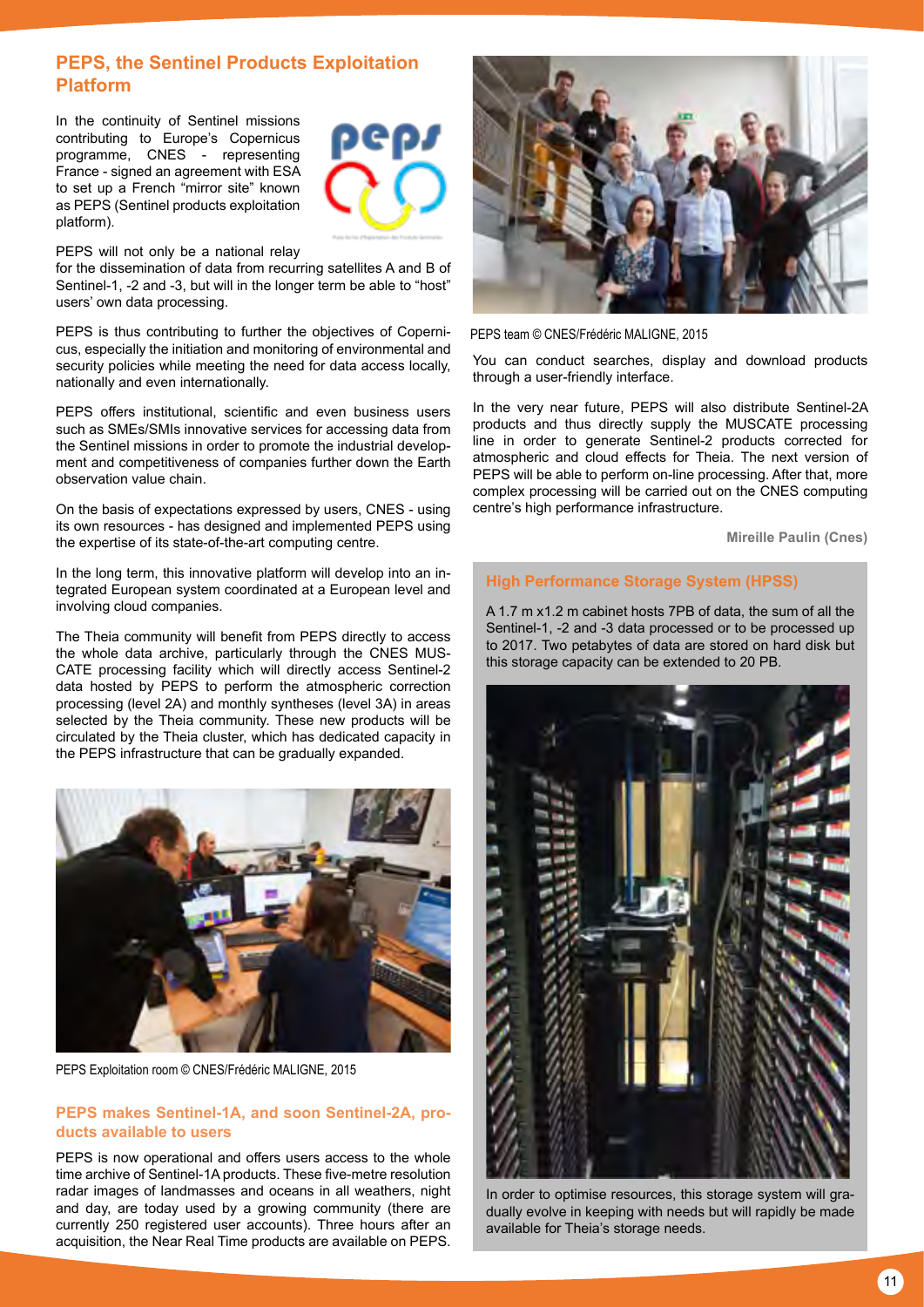# **PEPS, the Sentinel Products Exploitation Platform**

In the continuity of Sentinel missions contributing to Europe's Copernicus programme, CNES - representing France - signed an agreement with ESA to set up a French "mirror site" known as PEPS (Sentinel products exploitation platform).



PEPS will not only be a national relay

for the dissemination of data from recurring satellites A and B of Sentinel-1, -2 and -3, but will in the longer term be able to "host" users' own data processing.

PEPS is thus contributing to further the objectives of Copernicus, especially the initiation and monitoring of environmental and security policies while meeting the need for data access locally, nationally and even internationally.

PEPS offers institutional, scientific and even business users such as SMEs/SMIs innovative services for accessing data from the Sentinel missions in order to promote the industrial development and competitiveness of companies further down the Earth observation value chain.

On the basis of expectations expressed by users, CNES - using its own resources - has designed and implemented PEPS using the expertise of its state-of-the-art computing centre.

In the long term, this innovative platform will develop into an integrated European system coordinated at a European level and involving cloud companies.

The Theia community will benefit from PEPS directly to access the whole data archive, particularly through the CNES MUS-CATE processing facility which will directly access Sentinel-2 data hosted by PEPS to perform the atmospheric correction processing (level 2A) and monthly syntheses (level 3A) in areas selected by the Theia community. These new products will be circulated by the Theia cluster, which has dedicated capacity in the PEPS infrastructure that can be gradually expanded.



PEPS Exploitation room © CNES/Frédéric MALIGNE, 2015

#### **PEPS makes Sentinel-1A, and soon Sentinel-2A, products available to users**

PEPS is now operational and offers users access to the whole time archive of Sentinel-1A products. These five-metre resolution radar images of landmasses and oceans in all weathers, night and day, are today used by a growing community (there are currently 250 registered user accounts). Three hours after an acquisition, the Near Real Time products are available on PEPS.



PEPS team © CNES/Frédéric MALIGNE, 2015

You can conduct searches, display and download products through a user-friendly interface.

In the very near future, PEPS will also distribute Sentinel-2A products and thus directly supply the MUSCATE processing line in order to generate Sentinel-2 products corrected for atmospheric and cloud effects for Theia. The next version of PEPS will be able to perform on-line processing. After that, more complex processing will be carried out on the CNES computing centre's high performance infrastructure.

**Mireille Paulin (Cnes)** 

#### **High Performance Storage System (HPSS)**

A 1.7 m x1.2 m cabinet hosts 7PB of data, the sum of all the Sentinel-1, -2 and -3 data processed or to be processed up to 2017. Two petabytes of data are stored on hard disk but this storage capacity can be extended to 20 PB.



In order to optimise resources, this storage system will gradually evolve in keeping with needs but will rapidly be made available for Theia's storage needs.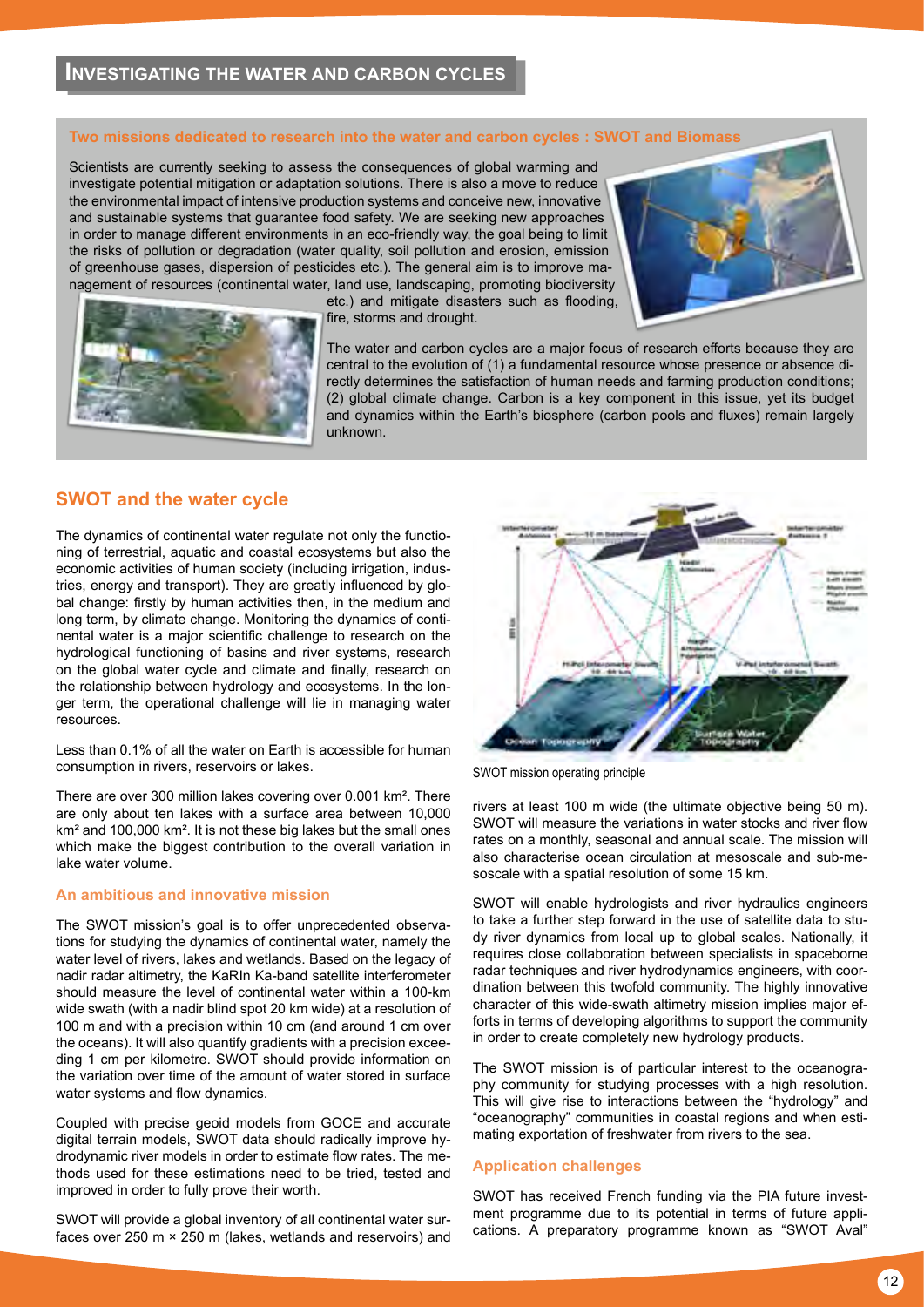#### **Two missions dedicated to research into the water and carbon cycles : SWOT and Biomass**

Scientists are currently seeking to assess the consequences of global warming and investigate potential mitigation or adaptation solutions. There is also a move to reduce the environmental impact of intensive production systems and conceive new, innovative and sustainable systems that guarantee food safety. We are seeking new approaches in order to manage different environments in an eco-friendly way, the goal being to limit the risks of pollution or degradation (water quality, soil pollution and erosion, emission of greenhouse gases, dispersion of pesticides etc.). The general aim is to improve management of resources (continental water, land use, landscaping, promoting biodiversity





etc.) and mitigate disasters such as flooding, fire, storms and drought.

The water and carbon cycles are a major focus of research efforts because they are central to the evolution of (1) a fundamental resource whose presence or absence directly determines the satisfaction of human needs and farming production conditions; (2) global climate change. Carbon is a key component in this issue, yet its budget and dynamics within the Earth's biosphere (carbon pools and fluxes) remain largely unknown.

# **SWOT and the water cycle**

The dynamics of continental water regulate not only the functioning of terrestrial, aquatic and coastal ecosystems but also the economic activities of human society (including irrigation, industries, energy and transport). They are greatly influenced by global change: firstly by human activities then, in the medium and long term, by climate change. Monitoring the dynamics of continental water is a major scientific challenge to research on the hydrological functioning of basins and river systems, research on the global water cycle and climate and finally, research on the relationship between hydrology and ecosystems. In the longer term, the operational challenge will lie in managing water resources.

Less than 0.1% of all the water on Earth is accessible for human consumption in rivers, reservoirs or lakes.

There are over 300 million lakes covering over 0.001 km². There are only about ten lakes with a surface area between 10,000 km² and 100,000 km². It is not these big lakes but the small ones which make the biggest contribution to the overall variation in lake water volume.

#### **An ambitious and innovative mission**

The SWOT mission's goal is to offer unprecedented observations for studying the dynamics of continental water, namely the water level of rivers, lakes and wetlands. Based on the legacy of nadir radar altimetry, the KaRIn Ka-band satellite interferometer should measure the level of continental water within a 100-km wide swath (with a nadir blind spot 20 km wide) at a resolution of 100 m and with a precision within 10 cm (and around 1 cm over the oceans). It will also quantify gradients with a precision exceeding 1 cm per kilometre. SWOT should provide information on the variation over time of the amount of water stored in surface water systems and flow dynamics.

Coupled with precise geoid models from GOCE and accurate digital terrain models, SWOT data should radically improve hydrodynamic river models in order to estimate flow rates. The methods used for these estimations need to be tried, tested and improved in order to fully prove their worth.

SWOT will provide a global inventory of all continental water surfaces over 250 m × 250 m (lakes, wetlands and reservoirs) and



SWOT mission operating principle

rivers at least 100 m wide (the ultimate objective being 50 m). SWOT will measure the variations in water stocks and river flow rates on a monthly, seasonal and annual scale. The mission will also characterise ocean circulation at mesoscale and sub-mesoscale with a spatial resolution of some 15 km.

SWOT will enable hydrologists and river hydraulics engineers to take a further step forward in the use of satellite data to study river dynamics from local up to global scales. Nationally, it requires close collaboration between specialists in spaceborne radar techniques and river hydrodynamics engineers, with coordination between this twofold community. The highly innovative character of this wide-swath altimetry mission implies major efforts in terms of developing algorithms to support the community in order to create completely new hydrology products.

The SWOT mission is of particular interest to the oceanography community for studying processes with a high resolution. This will give rise to interactions between the "hydrology" and "oceanography" communities in coastal regions and when estimating exportation of freshwater from rivers to the sea.

# **Application challenges**

SWOT has received French funding via the PIA future investment programme due to its potential in terms of future applications. A preparatory programme known as "SWOT Aval"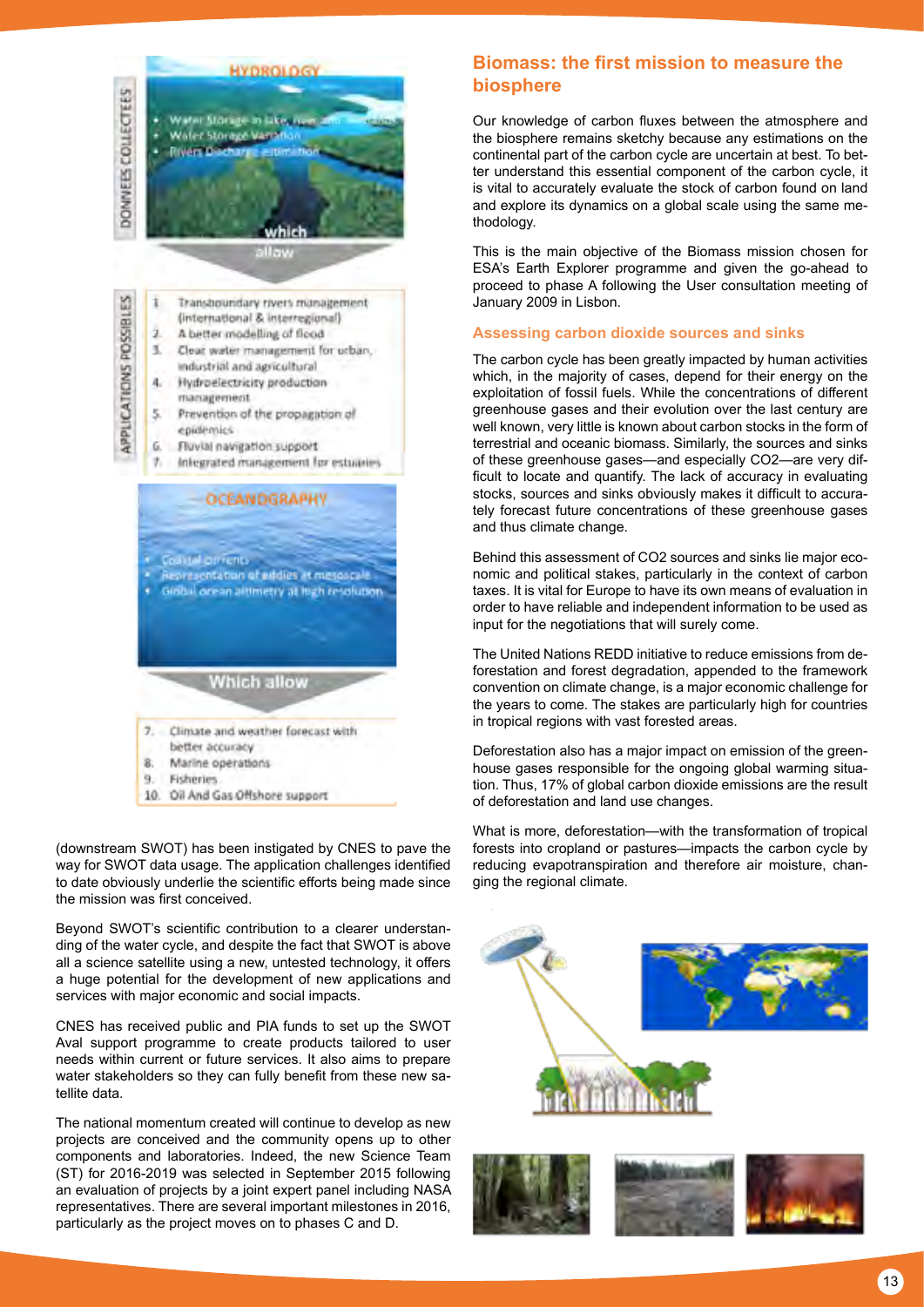

(downstream SWOT) has been instigated by CNES to pave the way for SWOT data usage. The application challenges identified to date obviously underlie the scientific efforts being made since the mission was first conceived.

Beyond SWOT's scientific contribution to a clearer understanding of the water cycle, and despite the fact that SWOT is above all a science satellite using a new, untested technology, it offers a huge potential for the development of new applications and services with major economic and social impacts.

CNES has received public and PIA funds to set up the SWOT Aval support programme to create products tailored to user needs within current or future services. It also aims to prepare water stakeholders so they can fully benefit from these new satellite data.

The national momentum created will continue to develop as new projects are conceived and the community opens up to other components and laboratories. Indeed, the new Science Team (ST) for 2016-2019 was selected in September 2015 following an evaluation of projects by a joint expert panel including NASA representatives. There are several important milestones in 2016, particularly as the project moves on to phases C and D.

# **Biomass: the first mission to measure the biosphere**

Our knowledge of carbon fluxes between the atmosphere and the biosphere remains sketchy because any estimations on the continental part of the carbon cycle are uncertain at best. To better understand this essential component of the carbon cycle, it is vital to accurately evaluate the stock of carbon found on land and explore its dynamics on a global scale using the same methodology.

This is the main objective of the Biomass mission chosen for ESA's Earth Explorer programme and given the go-ahead to proceed to phase A following the User consultation meeting of January 2009 in Lisbon.

# **Assessing carbon dioxide sources and sinks**

The carbon cycle has been greatly impacted by human activities which, in the majority of cases, depend for their energy on the exploitation of fossil fuels. While the concentrations of different greenhouse gases and their evolution over the last century are well known, very little is known about carbon stocks in the form of terrestrial and oceanic biomass. Similarly, the sources and sinks of these greenhouse gases—and especially CO2—are very difficult to locate and quantify. The lack of accuracy in evaluating stocks, sources and sinks obviously makes it difficult to accurately forecast future concentrations of these greenhouse gases and thus climate change.

Behind this assessment of CO2 sources and sinks lie major economic and political stakes, particularly in the context of carbon taxes. It is vital for Europe to have its own means of evaluation in order to have reliable and independent information to be used as input for the negotiations that will surely come.

The United Nations REDD initiative to reduce emissions from deforestation and forest degradation, appended to the framework convention on climate change, is a major economic challenge for the years to come. The stakes are particularly high for countries in tropical regions with vast forested areas.

Deforestation also has a major impact on emission of the greenhouse gases responsible for the ongoing global warming situation. Thus, 17% of global carbon dioxide emissions are the result of deforestation and land use changes.

What is more, deforestation—with the transformation of tropical forests into cropland or pastures—impacts the carbon cycle by reducing evapotranspiration and therefore air moisture, changing the regional climate.